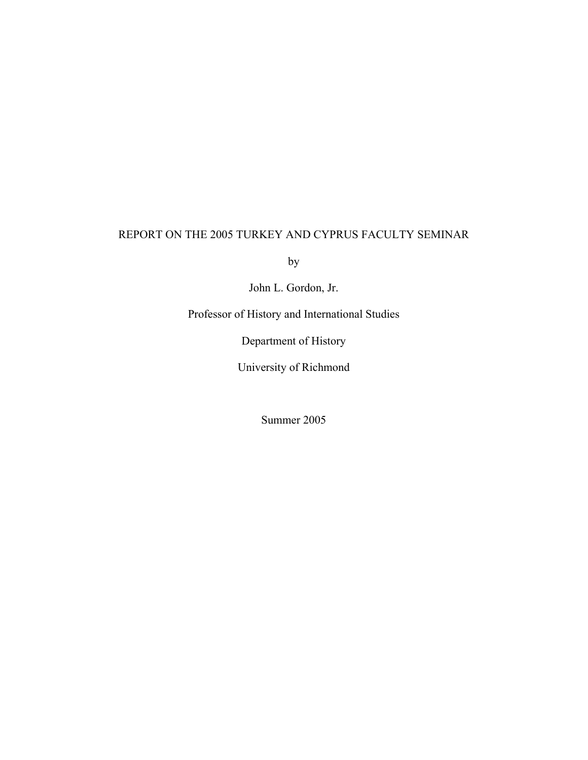## REPORT ON THE 2005 TURKEY AND CYPRUS FACULTY SEMINAR

by

John L. Gordon, Jr.

Professor of History and International Studies

Department of History

University of Richmond

Summer 2005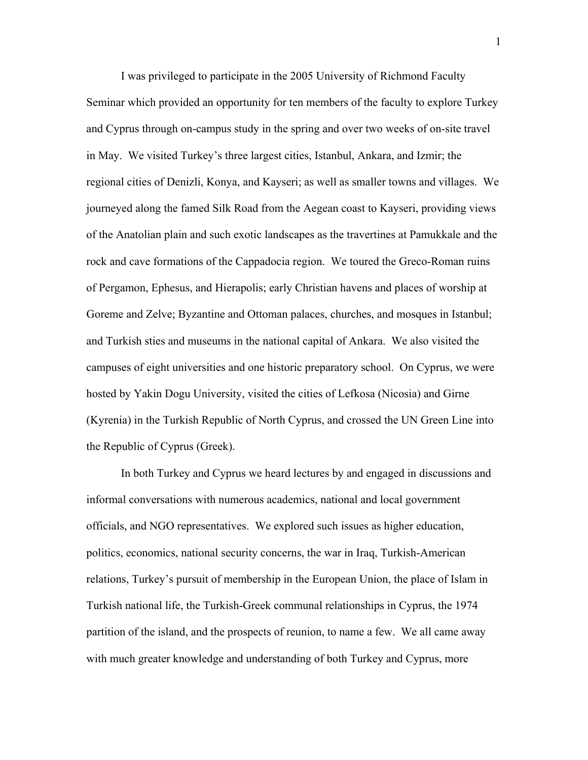I was privileged to participate in the 2005 University of Richmond Faculty Seminar which provided an opportunity for ten members of the faculty to explore Turkey and Cyprus through on-campus study in the spring and over two weeks of on-site travel in May. We visited Turkey's three largest cities, Istanbul, Ankara, and Izmir; the regional cities of Denizli, Konya, and Kayseri; as well as smaller towns and villages. We journeyed along the famed Silk Road from the Aegean coast to Kayseri, providing views of the Anatolian plain and such exotic landscapes as the travertines at Pamukkale and the rock and cave formations of the Cappadocia region. We toured the Greco-Roman ruins of Pergamon, Ephesus, and Hierapolis; early Christian havens and places of worship at Goreme and Zelve; Byzantine and Ottoman palaces, churches, and mosques in Istanbul; and Turkish sties and museums in the national capital of Ankara. We also visited the campuses of eight universities and one historic preparatory school. On Cyprus, we were hosted by Yakin Dogu University, visited the cities of Lefkosa (Nicosia) and Girne (Kyrenia) in the Turkish Republic of North Cyprus, and crossed the UN Green Line into the Republic of Cyprus (Greek).

In both Turkey and Cyprus we heard lectures by and engaged in discussions and informal conversations with numerous academics, national and local government officials, and NGO representatives. We explored such issues as higher education, politics, economics, national security concerns, the war in Iraq, Turkish-American relations, Turkey's pursuit of membership in the European Union, the place of Islam in Turkish national life, the Turkish-Greek communal relationships in Cyprus, the 1974 partition of the island, and the prospects of reunion, to name a few. We all came away with much greater knowledge and understanding of both Turkey and Cyprus, more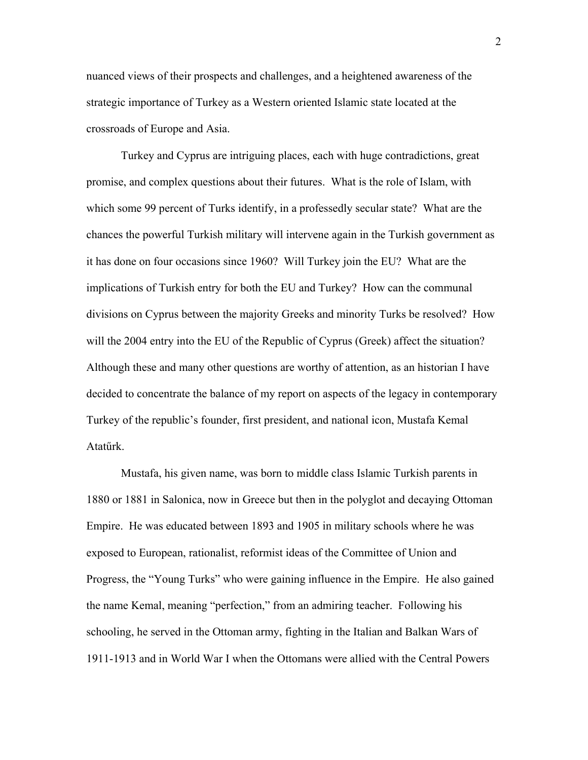nuanced views of their prospects and challenges, and a heightened awareness of the strategic importance of Turkey as a Western oriented Islamic state located at the crossroads of Europe and Asia.

Turkey and Cyprus are intriguing places, each with huge contradictions, great promise, and complex questions about their futures. What is the role of Islam, with which some 99 percent of Turks identify, in a professedly secular state? What are the chances the powerful Turkish military will intervene again in the Turkish government as it has done on four occasions since 1960? Will Turkey join the EU? What are the implications of Turkish entry for both the EU and Turkey? How can the communal divisions on Cyprus between the majority Greeks and minority Turks be resolved? How will the 2004 entry into the EU of the Republic of Cyprus (Greek) affect the situation? Although these and many other questions are worthy of attention, as an historian I have decided to concentrate the balance of my report on aspects of the legacy in contemporary Turkey of the republic's founder, first president, and national icon, Mustafa Kemal Atatűrk.

Mustafa, his given name, was born to middle class Islamic Turkish parents in 1880 or 1881 in Salonica, now in Greece but then in the polyglot and decaying Ottoman Empire. He was educated between 1893 and 1905 in military schools where he was exposed to European, rationalist, reformist ideas of the Committee of Union and Progress, the "Young Turks" who were gaining influence in the Empire. He also gained the name Kemal, meaning "perfection," from an admiring teacher. Following his schooling, he served in the Ottoman army, fighting in the Italian and Balkan Wars of 1911-1913 and in World War I when the Ottomans were allied with the Central Powers

2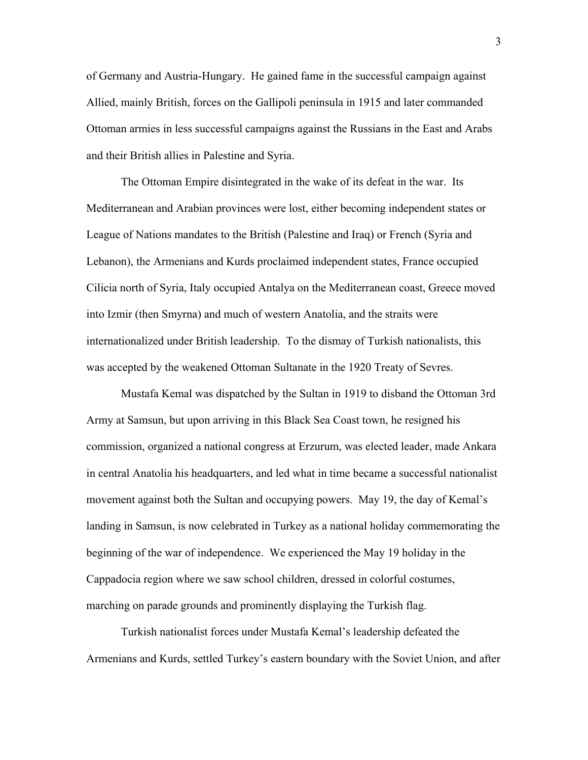of Germany and Austria-Hungary. He gained fame in the successful campaign against Allied, mainly British, forces on the Gallipoli peninsula in 1915 and later commanded Ottoman armies in less successful campaigns against the Russians in the East and Arabs and their British allies in Palestine and Syria.

The Ottoman Empire disintegrated in the wake of its defeat in the war. Its Mediterranean and Arabian provinces were lost, either becoming independent states or League of Nations mandates to the British (Palestine and Iraq) or French (Syria and Lebanon), the Armenians and Kurds proclaimed independent states, France occupied Cilicia north of Syria, Italy occupied Antalya on the Mediterranean coast, Greece moved into Izmir (then Smyrna) and much of western Anatolia, and the straits were internationalized under British leadership. To the dismay of Turkish nationalists, this was accepted by the weakened Ottoman Sultanate in the 1920 Treaty of Sevres.

Mustafa Kemal was dispatched by the Sultan in 1919 to disband the Ottoman 3rd Army at Samsun, but upon arriving in this Black Sea Coast town, he resigned his commission, organized a national congress at Erzurum, was elected leader, made Ankara in central Anatolia his headquarters, and led what in time became a successful nationalist movement against both the Sultan and occupying powers. May 19, the day of Kemal's landing in Samsun, is now celebrated in Turkey as a national holiday commemorating the beginning of the war of independence. We experienced the May 19 holiday in the Cappadocia region where we saw school children, dressed in colorful costumes, marching on parade grounds and prominently displaying the Turkish flag.

Turkish nationalist forces under Mustafa Kemal's leadership defeated the Armenians and Kurds, settled Turkey's eastern boundary with the Soviet Union, and after

3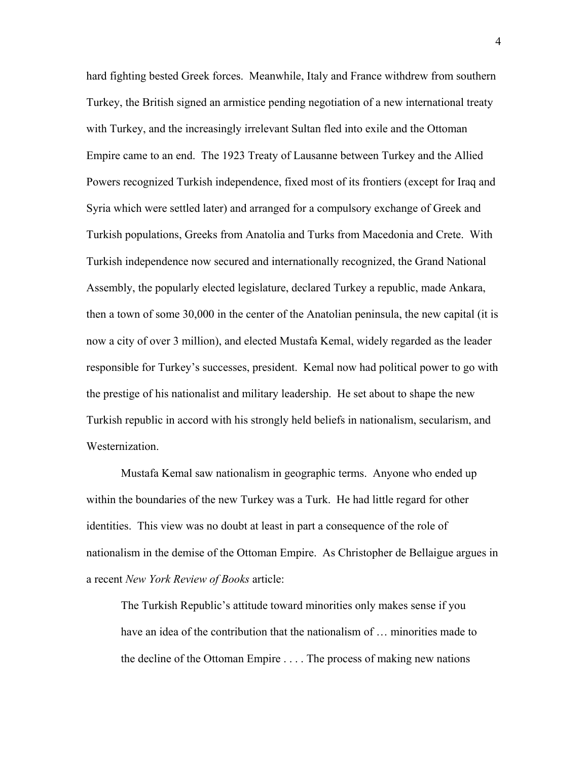hard fighting bested Greek forces. Meanwhile, Italy and France withdrew from southern Turkey, the British signed an armistice pending negotiation of a new international treaty with Turkey, and the increasingly irrelevant Sultan fled into exile and the Ottoman Empire came to an end. The 1923 Treaty of Lausanne between Turkey and the Allied Powers recognized Turkish independence, fixed most of its frontiers (except for Iraq and Syria which were settled later) and arranged for a compulsory exchange of Greek and Turkish populations, Greeks from Anatolia and Turks from Macedonia and Crete. With Turkish independence now secured and internationally recognized, the Grand National Assembly, the popularly elected legislature, declared Turkey a republic, made Ankara, then a town of some 30,000 in the center of the Anatolian peninsula, the new capital (it is now a city of over 3 million), and elected Mustafa Kemal, widely regarded as the leader responsible for Turkey's successes, president. Kemal now had political power to go with the prestige of his nationalist and military leadership. He set about to shape the new Turkish republic in accord with his strongly held beliefs in nationalism, secularism, and **Westernization** 

Mustafa Kemal saw nationalism in geographic terms. Anyone who ended up within the boundaries of the new Turkey was a Turk. He had little regard for other identities. This view was no doubt at least in part a consequence of the role of nationalism in the demise of the Ottoman Empire. As Christopher de Bellaigue argues in a recent *New York Review of Books* article:

 The Turkish Republic's attitude toward minorities only makes sense if you have an idea of the contribution that the nationalism of ... minorities made to the decline of the Ottoman Empire . . . . The process of making new nations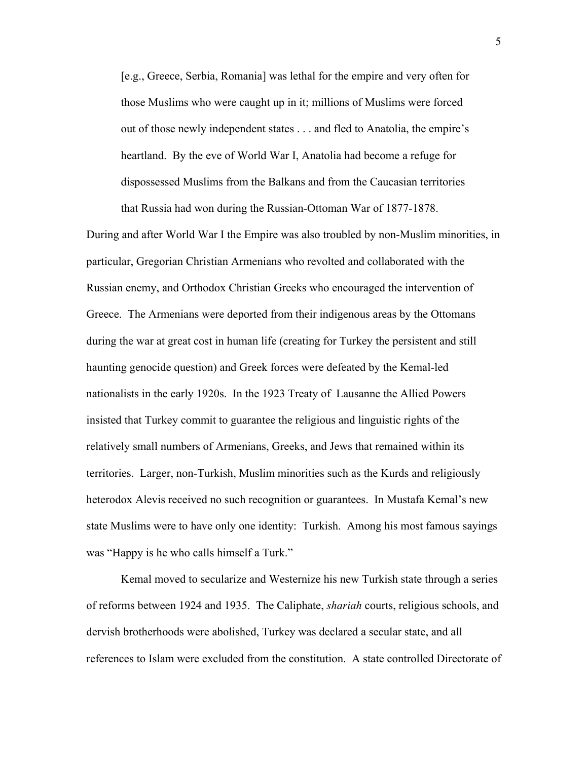[e.g., Greece, Serbia, Romania] was lethal for the empire and very often for those Muslims who were caught up in it; millions of Muslims were forced out of those newly independent states . . . and fled to Anatolia, the empire's heartland. By the eve of World War I, Anatolia had become a refuge for dispossessed Muslims from the Balkans and from the Caucasian territories that Russia had won during the Russian-Ottoman War of 1877-1878.

During and after World War I the Empire was also troubled by non-Muslim minorities, in particular, Gregorian Christian Armenians who revolted and collaborated with the Russian enemy, and Orthodox Christian Greeks who encouraged the intervention of Greece. The Armenians were deported from their indigenous areas by the Ottomans during the war at great cost in human life (creating for Turkey the persistent and still haunting genocide question) and Greek forces were defeated by the Kemal-led nationalists in the early 1920s. In the 1923 Treaty of Lausanne the Allied Powers insisted that Turkey commit to guarantee the religious and linguistic rights of the relatively small numbers of Armenians, Greeks, and Jews that remained within its territories. Larger, non-Turkish, Muslim minorities such as the Kurds and religiously heterodox Alevis received no such recognition or guarantees. In Mustafa Kemal's new state Muslims were to have only one identity: Turkish. Among his most famous sayings was "Happy is he who calls himself a Turk."

Kemal moved to secularize and Westernize his new Turkish state through a series of reforms between 1924 and 1935. The Caliphate, *shariah* courts, religious schools, and dervish brotherhoods were abolished, Turkey was declared a secular state, and all references to Islam were excluded from the constitution. A state controlled Directorate of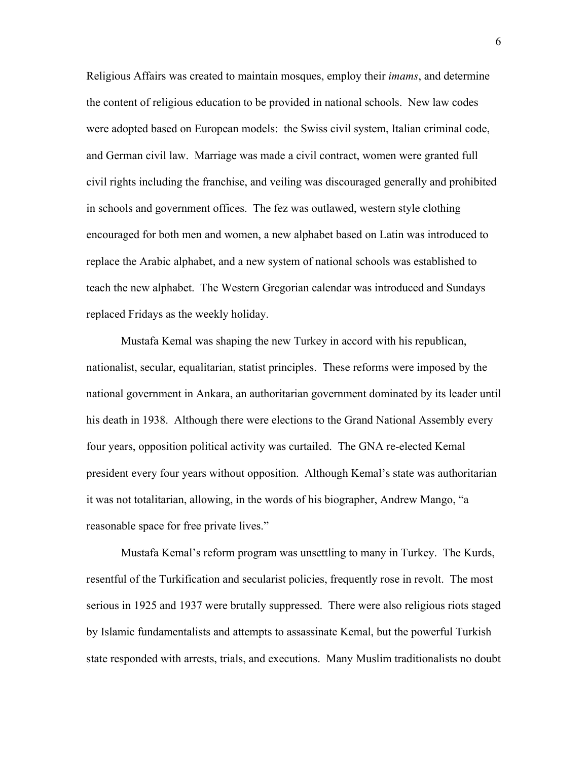Religious Affairs was created to maintain mosques, employ their *imams*, and determine the content of religious education to be provided in national schools. New law codes were adopted based on European models: the Swiss civil system, Italian criminal code, and German civil law. Marriage was made a civil contract, women were granted full civil rights including the franchise, and veiling was discouraged generally and prohibited in schools and government offices. The fez was outlawed, western style clothing encouraged for both men and women, a new alphabet based on Latin was introduced to replace the Arabic alphabet, and a new system of national schools was established to teach the new alphabet. The Western Gregorian calendar was introduced and Sundays replaced Fridays as the weekly holiday.

Mustafa Kemal was shaping the new Turkey in accord with his republican, nationalist, secular, equalitarian, statist principles. These reforms were imposed by the national government in Ankara, an authoritarian government dominated by its leader until his death in 1938. Although there were elections to the Grand National Assembly every four years, opposition political activity was curtailed. The GNA re-elected Kemal president every four years without opposition. Although Kemal's state was authoritarian it was not totalitarian, allowing, in the words of his biographer, Andrew Mango, "a reasonable space for free private lives."

Mustafa Kemal's reform program was unsettling to many in Turkey. The Kurds, resentful of the Turkification and secularist policies, frequently rose in revolt. The most serious in 1925 and 1937 were brutally suppressed. There were also religious riots staged by Islamic fundamentalists and attempts to assassinate Kemal, but the powerful Turkish state responded with arrests, trials, and executions. Many Muslim traditionalists no doubt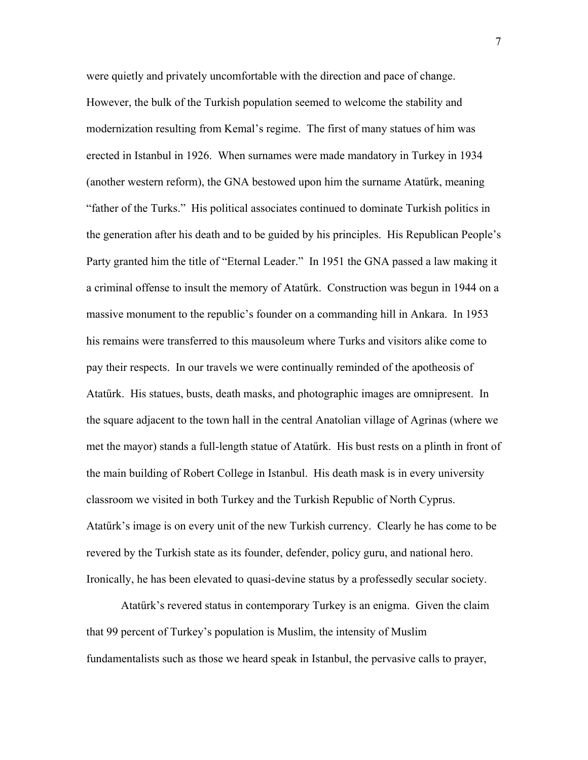were quietly and privately uncomfortable with the direction and pace of change. However, the bulk of the Turkish population seemed to welcome the stability and modernization resulting from Kemal's regime. The first of many statues of him was erected in Istanbul in 1926. When surnames were made mandatory in Turkey in 1934 (another western reform), the GNA bestowed upon him the surname Atatűrk, meaning "father of the Turks." His political associates continued to dominate Turkish politics in the generation after his death and to be guided by his principles. His Republican People's Party granted him the title of "Eternal Leader." In 1951 the GNA passed a law making it a criminal offense to insult the memory of Atatűrk. Construction was begun in 1944 on a massive monument to the republic's founder on a commanding hill in Ankara. In 1953 his remains were transferred to this mausoleum where Turks and visitors alike come to pay their respects. In our travels we were continually reminded of the apotheosis of Atatűrk. His statues, busts, death masks, and photographic images are omnipresent. In the square adjacent to the town hall in the central Anatolian village of Agrinas (where we met the mayor) stands a full-length statue of Atatűrk. His bust rests on a plinth in front of the main building of Robert College in Istanbul. His death mask is in every university classroom we visited in both Turkey and the Turkish Republic of North Cyprus. Atatűrk's image is on every unit of the new Turkish currency. Clearly he has come to be revered by the Turkish state as its founder, defender, policy guru, and national hero. Ironically, he has been elevated to quasi-devine status by a professedly secular society.

Atatűrk's revered status in contemporary Turkey is an enigma. Given the claim that 99 percent of Turkey's population is Muslim, the intensity of Muslim fundamentalists such as those we heard speak in Istanbul, the pervasive calls to prayer,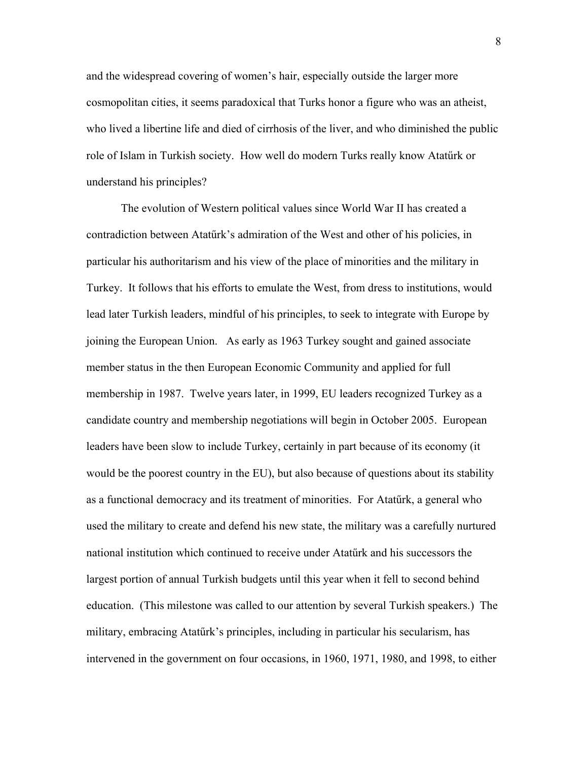and the widespread covering of women's hair, especially outside the larger more cosmopolitan cities, it seems paradoxical that Turks honor a figure who was an atheist, who lived a libertine life and died of cirrhosis of the liver, and who diminished the public role of Islam in Turkish society. How well do modern Turks really know Atatűrk or understand his principles?

The evolution of Western political values since World War II has created a contradiction between Atatűrk's admiration of the West and other of his policies, in particular his authoritarism and his view of the place of minorities and the military in Turkey. It follows that his efforts to emulate the West, from dress to institutions, would lead later Turkish leaders, mindful of his principles, to seek to integrate with Europe by joining the European Union. As early as 1963 Turkey sought and gained associate member status in the then European Economic Community and applied for full membership in 1987. Twelve years later, in 1999, EU leaders recognized Turkey as a candidate country and membership negotiations will begin in October 2005. European leaders have been slow to include Turkey, certainly in part because of its economy (it would be the poorest country in the EU), but also because of questions about its stability as a functional democracy and its treatment of minorities. For Atatűrk, a general who used the military to create and defend his new state, the military was a carefully nurtured national institution which continued to receive under Atatűrk and his successors the largest portion of annual Turkish budgets until this year when it fell to second behind education. (This milestone was called to our attention by several Turkish speakers.) The military, embracing Atatűrk's principles, including in particular his secularism, has intervened in the government on four occasions, in 1960, 1971, 1980, and 1998, to either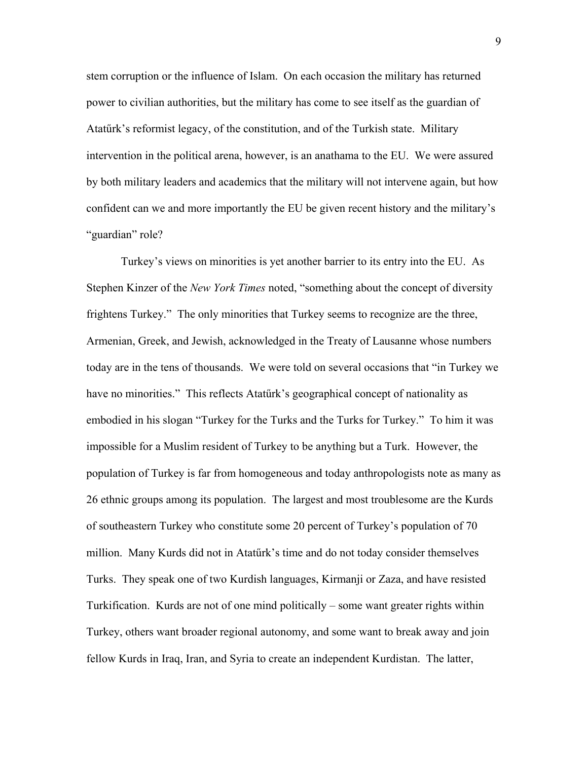stem corruption or the influence of Islam. On each occasion the military has returned power to civilian authorities, but the military has come to see itself as the guardian of Atatűrk's reformist legacy, of the constitution, and of the Turkish state. Military intervention in the political arena, however, is an anathama to the EU. We were assured by both military leaders and academics that the military will not intervene again, but how confident can we and more importantly the EU be given recent history and the military's "guardian" role?

Turkey's views on minorities is yet another barrier to its entry into the EU. As Stephen Kinzer of the *New York Times* noted, "something about the concept of diversity frightens Turkey." The only minorities that Turkey seems to recognize are the three, Armenian, Greek, and Jewish, acknowledged in the Treaty of Lausanne whose numbers today are in the tens of thousands. We were told on several occasions that "in Turkey we have no minorities." This reflects Atatürk's geographical concept of nationality as embodied in his slogan "Turkey for the Turks and the Turks for Turkey." To him it was impossible for a Muslim resident of Turkey to be anything but a Turk. However, the population of Turkey is far from homogeneous and today anthropologists note as many as 26 ethnic groups among its population. The largest and most troublesome are the Kurds of southeastern Turkey who constitute some 20 percent of Turkey's population of 70 million. Many Kurds did not in Atatűrk's time and do not today consider themselves Turks. They speak one of two Kurdish languages, Kirmanji or Zaza, and have resisted Turkification. Kurds are not of one mind politically – some want greater rights within Turkey, others want broader regional autonomy, and some want to break away and join fellow Kurds in Iraq, Iran, and Syria to create an independent Kurdistan. The latter,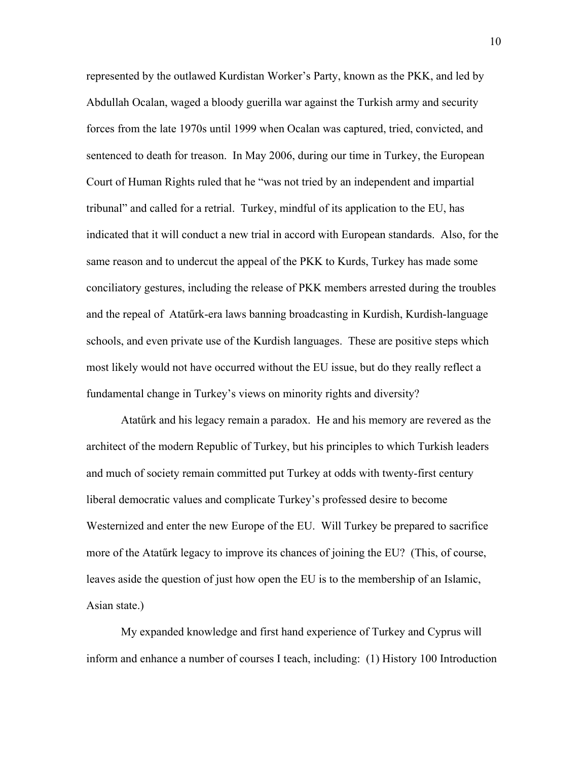represented by the outlawed Kurdistan Worker's Party, known as the PKK, and led by Abdullah Ocalan, waged a bloody guerilla war against the Turkish army and security forces from the late 1970s until 1999 when Ocalan was captured, tried, convicted, and sentenced to death for treason. In May 2006, during our time in Turkey, the European Court of Human Rights ruled that he "was not tried by an independent and impartial tribunal" and called for a retrial. Turkey, mindful of its application to the EU, has indicated that it will conduct a new trial in accord with European standards. Also, for the same reason and to undercut the appeal of the PKK to Kurds, Turkey has made some conciliatory gestures, including the release of PKK members arrested during the troubles and the repeal of Atatűrk-era laws banning broadcasting in Kurdish, Kurdish-language schools, and even private use of the Kurdish languages. These are positive steps which most likely would not have occurred without the EU issue, but do they really reflect a fundamental change in Turkey's views on minority rights and diversity?

Atatűrk and his legacy remain a paradox. He and his memory are revered as the architect of the modern Republic of Turkey, but his principles to which Turkish leaders and much of society remain committed put Turkey at odds with twenty-first century liberal democratic values and complicate Turkey's professed desire to become Westernized and enter the new Europe of the EU. Will Turkey be prepared to sacrifice more of the Atatűrk legacy to improve its chances of joining the EU? (This, of course, leaves aside the question of just how open the EU is to the membership of an Islamic, Asian state.)

My expanded knowledge and first hand experience of Turkey and Cyprus will inform and enhance a number of courses I teach, including: (1) History 100 Introduction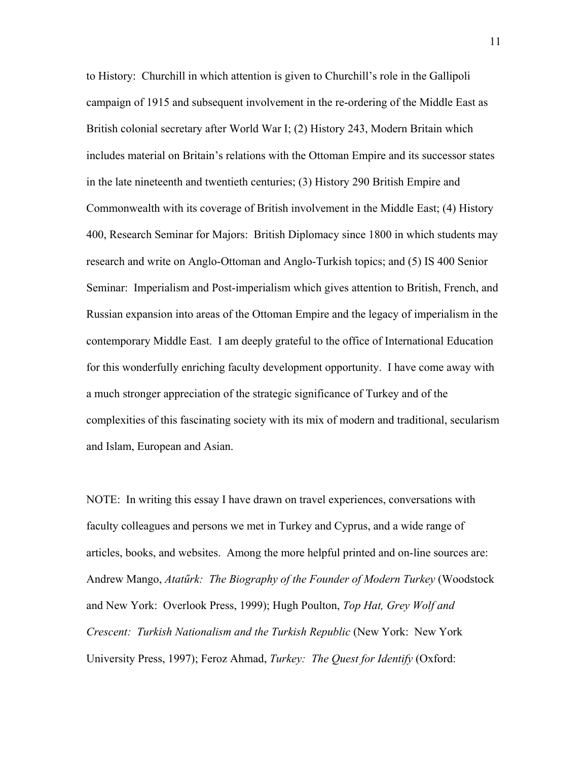to History: Churchill in which attention is given to Churchill's role in the Gallipoli campaign of 1915 and subsequent involvement in the re-ordering of the Middle East as British colonial secretary after World War I; (2) History 243, Modern Britain which includes material on Britain's relations with the Ottoman Empire and its successor states in the late nineteenth and twentieth centuries; (3) History 290 British Empire and Commonwealth with its coverage of British involvement in the Middle East; (4) History 400, Research Seminar for Majors: British Diplomacy since 1800 in which students may research and write on Anglo-Ottoman and Anglo-Turkish topics; and (5) IS 400 Senior Seminar: Imperialism and Post-imperialism which gives attention to British, French, and Russian expansion into areas of the Ottoman Empire and the legacy of imperialism in the contemporary Middle East. I am deeply grateful to the office of International Education for this wonderfully enriching faculty development opportunity. I have come away with a much stronger appreciation of the strategic significance of Turkey and of the complexities of this fascinating society with its mix of modern and traditional, secularism and Islam, European and Asian.

NOTE: In writing this essay I have drawn on travel experiences, conversations with faculty colleagues and persons we met in Turkey and Cyprus, and a wide range of articles, books, and websites. Among the more helpful printed and on-line sources are: Andrew Mango, *Atatűrk: The Biography of the Founder of Modern Turkey* (Woodstock and New York: Overlook Press, 1999); Hugh Poulton, *Top Hat, Grey Wolf and Crescent: Turkish Nationalism and the Turkish Republic* (New York: New York University Press, 1997); Feroz Ahmad, *Turkey: The Quest for Identify* (Oxford: